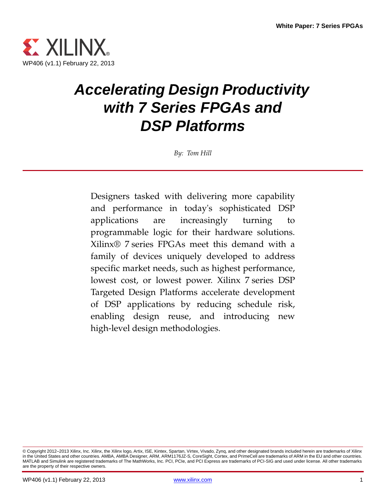

# *Accelerating Design Productivity with 7 Series FPGAs and DSP Platforms*

*By: Tom Hill*

Designers tasked with delivering more capability and performance in today's sophisticated DSP applications are increasingly turning to programmable logic for their hardware solutions. Xilinx® 7 series FPGAs meet this demand with a family of devices uniquely developed to address specific market needs, such as highest performance, lowest cost, or lowest power. Xilinx 7 series DSP Targeted Design Platforms accelerate development of DSP applications by reducing schedule risk, enabling design reuse, and introducing new high-level design methodologies.

<sup>©</sup> Copyright 2012–2013 Xilinx, Inc. Xilinx, the Xilinx logo, Artix, ISE, Kintex, Spartan, Virtex, Vivado, Zynq, and other designated brands included herein are trademarks of Xilinx in the United States and other countries. AMBA, AMBA Designer, ARM, ARM1176JZ-S, CoreSight, Cortex, and PrimeCell are trademarks of ARM in the EU and other countries. MATLAB and Simulink are registered trademarks of The MathWorks, Inc. PCI, PCIe, and PCI Express are trademarks of PCI-SIG and used under license. All other trademarks are the property of their respective owners.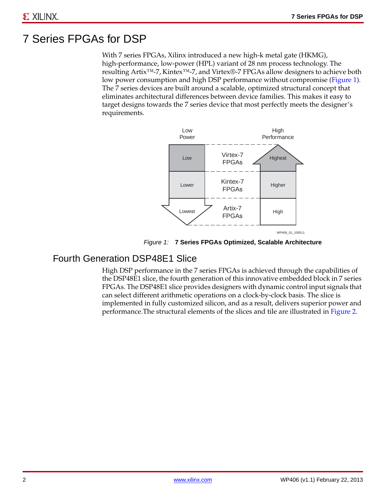### 7 Series FPGAs for DSP

With 7 series FPGAs, Xilinx introduced a new high-k metal gate (HKMG), high-performance, low-power (HPL) variant of 28 nm process technology. The resulting Artix™-7, Kintex™-7, and Virtex®-7 FPGAs allow designers to achieve both low power consumption and high DSP performance without compromise [\(Figure 1](#page-1-0)). The 7 series devices are built around a scalable, optimized structural concept that eliminates architectural differences between device families. This makes it easy to target designs towards the 7 series device that most perfectly meets the designer's requirements.

<span id="page-1-0"></span>

*Figure 1:* **7 Series FPGAs Optimized, Scalable Architecture**

#### Fourth Generation DSP48E1 Slice

High DSP performance in the 7 series FPGAs is achieved through the capabilities of the DSP48E1 slice, the fourth generation of this innovative embedded block in 7 series FPGAs. The DSP48E1 slice provides designers with dynamic control input signals that can select different arithmetic operations on a clock-by-clock basis. The slice is implemented in fully customized silicon, and as a result, delivers superior power and performance.The structural elements of the slices and tile are illustrated in [Figure 2](#page-2-0).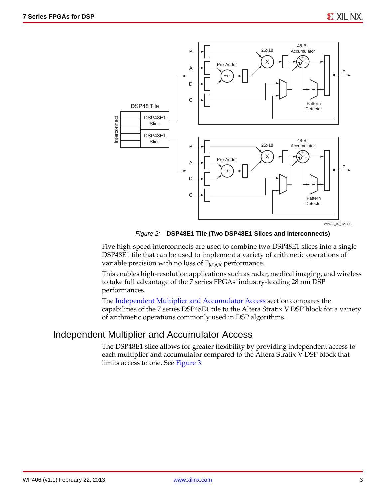<span id="page-2-0"></span>

*Figure 2:* **DSP48E1 Tile (Two DSP48E1 Slices and Interconnects)**

Five high-speed interconnects are used to combine two DSP48E1 slices into a single DSP48E1 tile that can be used to implement a variety of arithmetic operations of variable precision with no loss of  $F_{MAX}$  performance.

This enables high-resolution applications such as radar, medical imaging, and wireless to take full advantage of the 7 series FPGAs' industry-leading 28 nm DSP performances.

The [Independent Multiplier and Accumulator Access](#page-2-1) section compares the capabilities of the 7 series DSP48E1 tile to the Altera Stratix V DSP block for a variety of arithmetic operations commonly used in DSP algorithms.

#### <span id="page-2-1"></span>Independent Multiplier and Accumulator Access

The DSP48E1 slice allows for greater flexibility by providing independent access to each multiplier and accumulator compared to the Altera Stratix V DSP block that limits access to one. See [Figure 3](#page-3-0).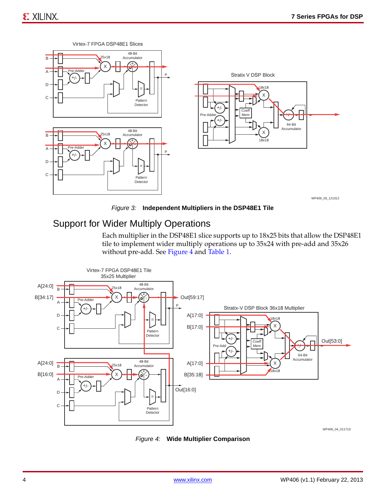<span id="page-3-0"></span>

*Figure 3:* **Independent Multipliers in the DSP48E1 Tile**

#### <span id="page-3-2"></span>Support for Wider Multiply Operations

Each multiplier in the DSP48E1 slice supports up to 18x25 bits that allow the DSP48E1 tile to implement wider multiply operations up to 35x24 with pre-add and 35x26 without pre-add. See [Figure 4](#page-3-1) and [Table 1](#page-4-0).

<span id="page-3-1"></span>

WP406\_04\_011713

#### *Figure 4:* **Wide Multiplier Comparison**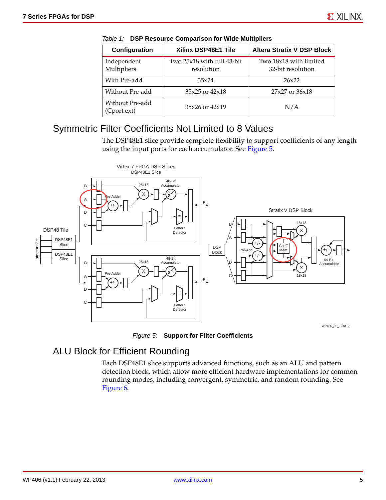| Configuration                  | Xilinx DSP48E1 Tile                      | <b>Altera Stratix V DSP Block</b>           |
|--------------------------------|------------------------------------------|---------------------------------------------|
| Independent<br>Multipliers     | Two 25x18 with full 43-bit<br>resolution | Two 18x18 with limited<br>32-bit resolution |
| With Pre-add                   | 35x24                                    | 26x22                                       |
| Without Pre-add                | $35x25$ or $42x18$                       | $27x27$ or $36x18$                          |
| Without Pre-add<br>(Cport ext) | $35x26$ or $42x19$                       | N/A                                         |

<span id="page-4-0"></span>

|  | Table 1: DSP Resource Comparison for Wide Multipliers |  |  |  |
|--|-------------------------------------------------------|--|--|--|
|--|-------------------------------------------------------|--|--|--|

#### Symmetric Filter Coefficients Not Limited to 8 Values

The DSP48E1 slice provide complete flexibility to support coefficients of any length using the input ports for each accumulator. See [Figure 5.](#page-4-1)

<span id="page-4-1"></span>

*Figure 5:* **Support for Filter Coefficients**

#### ALU Block for Efficient Rounding

Each DSP48E1 slice supports advanced functions, such as an ALU and pattern detection block, which allow more efficient hardware implementations for common rounding modes, including convergent, symmetric, and random rounding. See [Figure 6.](#page-5-0)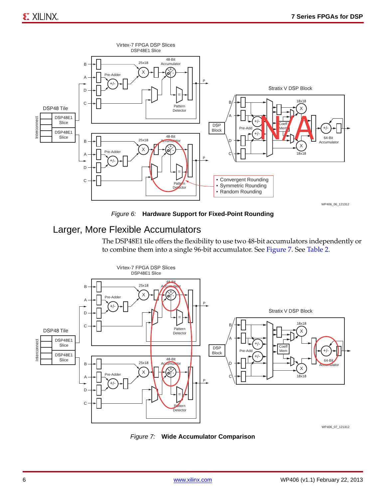<span id="page-5-0"></span>

*Figure 6:* **Hardware Support for Fixed-Point Rounding**

#### Larger, More Flexible Accumulators

The DSP48E1 tile offers the flexibility to use two 48-bit accumulators independently or to combine them into a single 96-bit accumulator. See [Figure 7](#page-5-1). See [Table 2.](#page-6-0)

<span id="page-5-1"></span>

WP406\_07\_121312

#### *Figure 7:* **Wide Accumulator Comparison**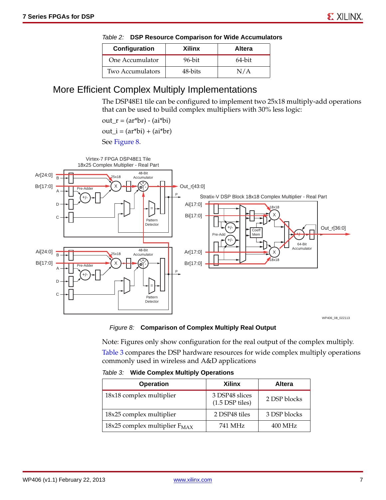| Configuration    | Xilinx    | <b>Altera</b> |  |
|------------------|-----------|---------------|--|
| One Accumulator  | $96$ -bit | 64-bit        |  |
| Two Accumulators | 48-bits   | N/A           |  |

<span id="page-6-0"></span>

|  |  |  | Table 2: DSP Resource Comparison for Wide Accumulators |
|--|--|--|--------------------------------------------------------|
|--|--|--|--------------------------------------------------------|

#### More Efficient Complex Multiply Implementations

The DSP48E1 tile can be configured to implement two 25x18 multiply-add operations that can be used to build complex multipliers with 30% less logic:

out\_r =  $(ar<sup>*</sup>br) - (ai<sup>*</sup>bi)$ 

 $out_i = (ar^*bi) + (ai^*br)$ 

See [Figure 8.](#page-6-1)

<span id="page-6-1"></span>

*Figure 8:* **Comparison of Complex Multiply Real Output** 

Note: Figures only show configuration for the real output of the complex multiply. [Table 3](#page-6-2) compares the DSP hardware resources for wide complex multiply operations commonly used in wireless and A&D applications

<span id="page-6-2"></span>

|  | Table 3: Wide Complex Multiply Operations |  |
|--|-------------------------------------------|--|
|  |                                           |  |

| <b>Operation</b>                   | <b>Xilinx</b>                       | Altera       |  |
|------------------------------------|-------------------------------------|--------------|--|
| 18x18 complex multiplier           | 3 DSP48 slices<br>$(1.5$ DSP tiles) | 2 DSP blocks |  |
| 18x25 complex multiplier           | 2 DSP48 tiles                       | 3 DSP blocks |  |
| 18x25 complex multiplier $F_{MAX}$ | 741 MHz                             | $400$ MHz    |  |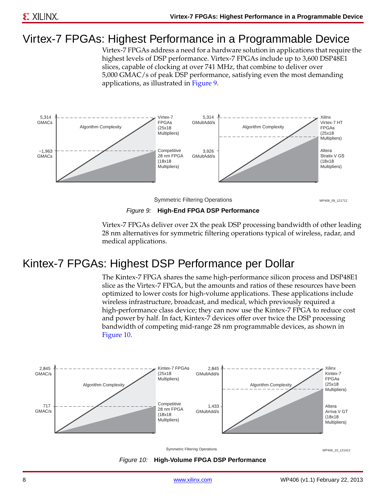## Virtex-7 FPGAs: Highest Performance in a Programmable Device

Virtex-7 FPGAs address a need for a hardware solution in applications that require the highest levels of DSP performance. Virtex-7 FPGAs include up to 3,600 DSP48E1 slices, capable of clocking at over 741 MHz, that combine to deliver over 5,000 GMAC/s of peak DSP performance, satisfying even the most demanding applications, as illustrated in [Figure 9](#page-7-1).

<span id="page-7-1"></span>

Symmetric Filtering Operations WAGES AND WANTED WARD WANTED WARD AND MELTING ON A UNITED STATES ON A 121712

*Figure 9:* **High-End FPGA DSP Performance**

Virtex-7 FPGAs deliver over 2X the peak DSP processing bandwidth of other leading 28 nm alternatives for symmetric filtering operations typical of wireless, radar, and medical applications.

## Kintex-7 FPGAs: Highest DSP Performance per Dollar

The Kintex-7 FPGA shares the same high-performance silicon process and DSP48E1 slice as the Virtex-7 FPGA, but the amounts and ratios of these resources have been optimized to lower costs for high-volume applications. These applications include wireless infrastructure, broadcast, and medical, which previously required a high-performance class device; they can now use the Kintex-7 FPGA to reduce cost and power by half. In fact, Kintex-7 devices offer over twice the DSP processing bandwidth of competing mid-range 28 nm programmable devices, as shown in [Figure 10](#page-7-0).

<span id="page-7-0"></span>

*Figure 10:* **High-Volume FPGA DSP Performance**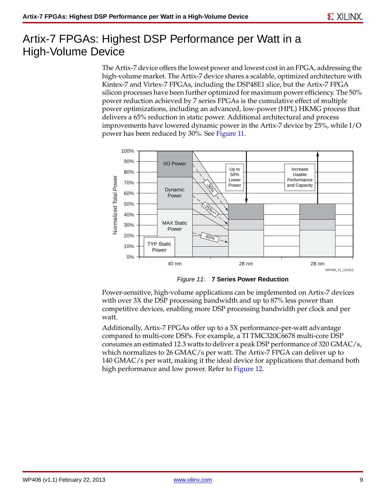### Artix-7 FPGAs: Highest DSP Performance per Watt in a High-Volume Device

The Artix-7 device offers the lowest power and lowest cost in an FPGA, addressing the high-volume market. The Artix-7 device shares a scalable, optimized architecture with Kintex-7 and Virtex-7 FPGAs, including the DSP48E1 slice, but the Artix-7 FPGA silicon processes have been further optimized for maximum power efficiency. The 50% power reduction achieved by 7 series FPGAs is the cumulative effect of multiple power optimizations, including an advanced, low-power (HPL) HKMG process that delivers a 65% reduction in static power. Additional architectural and process improvements have lowered dynamic power in the Artix-7 device by 25%, while I/O power has been reduced by 30%. See [Figure 11.](#page-8-0)

<span id="page-8-0"></span>

*Figure 11:* **7 Series Power Reduction**

Power-sensitive, high-volume applications can be implemented on Artix-7 devices with over 3X the DSP processing bandwidth and up to 87% less power than competitive devices, enabling more DSP processing bandwidth per clock and per watt.

Additionally, Artix-7 FPGAs offer up to a 5X performance-per-watt advantage compared to multi-core DSPs. For example, a TI TMC320C6678 multi-core DSP consumes an estimated 12.3 watts to deliver a peak DSP performance of 320 GMAC/s, which normalizes to 26 GMAC/s per watt. The Artix-7 FPGA can deliver up to 140 GMAC/s per watt, making it the ideal device for applications that demand both high performance and low power. Refer to [Figure 12](#page-9-0).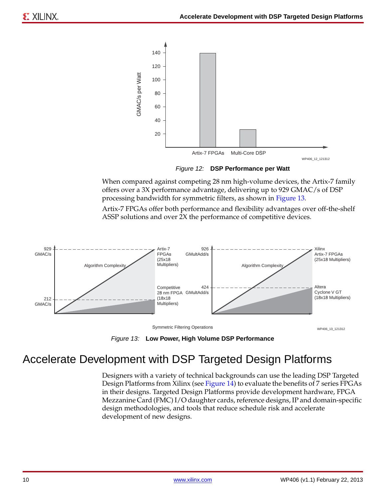<span id="page-9-0"></span>

When compared against competing 28 nm high-volume devices, the Artix-7 family offers over a 3X performance advantage, delivering up to 929 GMAC/s of DSP processing bandwidth for symmetric filters, as shown in [Figure 13](#page-9-1).

Artix-7 FPGAs offer both performance and flexibility advantages over off-the-shelf ASSP solutions and over 2X the performance of competitive devices.

<span id="page-9-1"></span>

*Figure 13:* **Low Power, High Volume DSP Performance**

## Accelerate Development with DSP Targeted Design Platforms

Designers with a variety of technical backgrounds can use the leading DSP Targeted Design Platforms from Xilinx (see [Figure 14\)](#page-10-0) to evaluate the benefits of 7 series FPGAs in their designs. Targeted Design Platforms provide development hardware, FPGA Mezzanine Card (FMC) I/O daughter cards, reference designs, IP and domain-specific design methodologies, and tools that reduce schedule risk and accelerate development of new designs.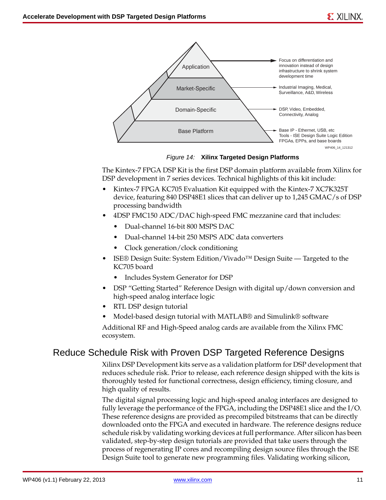<span id="page-10-0"></span>

*Figure 14:* **Xilinx Targeted Design Platforms**

The Kintex-7 FPGA DSP Kit is the first DSP domain platform available from Xilinx for DSP development in 7 series devices. Technical highlights of this kit include:

- Kintex-7 FPGA KC705 Evaluation Kit equipped with the Kintex-7 XC7K325T device, featuring 840 DSP48E1 slices that can deliver up to 1,245 GMAC/s of DSP processing bandwidth
- 4DSP FMC150 ADC/DAC high-speed FMC mezzanine card that includes:
	- Dual-channel 16-bit 800 MSPS DAC
	- Dual-channel 14-bit 250 MSPS ADC data converters
	- Clock generation/clock conditioning
- ISE® Design Suite: System Edition/Vivado™ Design Suite Targeted to the KC705 board
	- Includes System Generator for DSP
- DSP "Getting Started" Reference Design with digital up/down conversion and high-speed analog interface logic
- RTL DSP design tutorial
- Model-based design tutorial with MATLAB® and Simulink® software

Additional RF and High-Speed analog cards are available from the Xilinx FMC ecosystem.

#### Reduce Schedule Risk with Proven DSP Targeted Reference Designs

Xilinx DSP Development kits serve as a validation platform for DSP development that reduces schedule risk. Prior to release, each reference design shipped with the kits is thoroughly tested for functional correctness, design efficiency, timing closure, and high quality of results.

The digital signal processing logic and high-speed analog interfaces are designed to fully leverage the performance of the FPGA, including the DSP48E1 slice and the I/O. These reference designs are provided as precompiled bitstreams that can be directly downloaded onto the FPGA and executed in hardware. The reference designs reduce schedule risk by validating working devices at full performance. After silicon has been validated, step-by-step design tutorials are provided that take users through the process of regenerating IP cores and recompiling design source files through the ISE Design Suite tool to generate new programming files. Validating working silicon,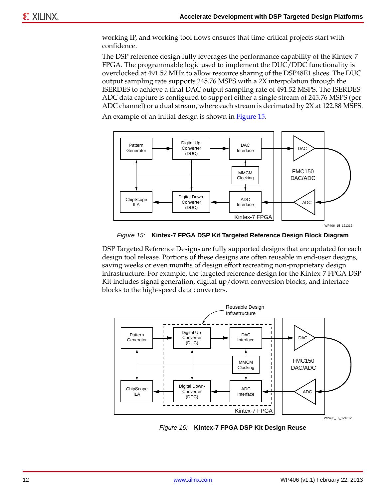working IP, and working tool flows ensures that time-critical projects start with confidence.

The DSP reference design fully leverages the performance capability of the Kintex-7 FPGA. The programmable logic used to implement the DUC/DDC functionality is overclocked at 491.52 MHz to allow resource sharing of the DSP48E1 slices. The DUC output sampling rate supports 245.76 MSPS with a 2X interpolation through the ISERDES to achieve a final DAC output sampling rate of 491.52 MSPS. The ISERDES ADC data capture is configured to support either a single stream of 245.76 MSPS (per ADC channel) or a dual stream, where each stream is decimated by 2X at 122.88 MSPS.

An example of an initial design is shown in [Figure 15](#page-11-0).

<span id="page-11-0"></span>

*Figure 15:* **Kintex-7 FPGA DSP Kit Targeted Reference Design Block Diagram**

DSP Targeted Reference Designs are fully supported designs that are updated for each design tool release. Portions of these designs are often reusable in end-user designs, saving weeks or even months of design effort recreating non-proprietary design infrastructure. For example, the targeted reference design for the Kintex-7 FPGA DSP Kit includes signal generation, digital up/down conversion blocks, and interface blocks to the high-speed data converters.



*Figure 16:* **Kintex-7 FPGA DSP Kit Design Reuse**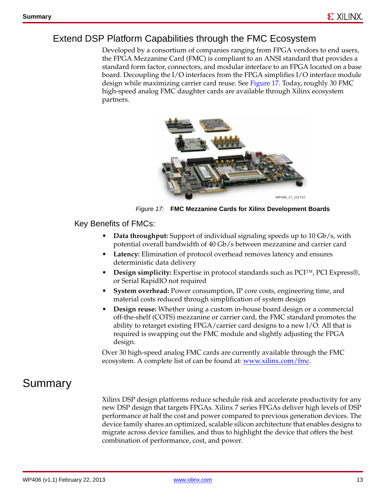#### Extend DSP Platform Capabilities through the FMC Ecosystem

Developed by a consortium of companies ranging from FPGA vendors to end users, the FPGA Mezzanine Card (FMC) is compliant to an ANSI standard that provides a standard form factor, connectors, and modular interface to an FPGA located on a base board. Decoupling the I/O interfaces from the FPGA simplifies I/O interface module design while maximizing carrier card reuse. See [Figure 17](#page-12-0). Today, roughly 30 FMC high-speed analog FMC daughter cards are available through Xilinx ecosystem partners.

<span id="page-12-0"></span>

*Figure 17:* **FMC Mezzanine Cards for Xilinx Development Boards**

Key Benefits of FMCs:

- **Data throughput:** Support of individual signaling speeds up to 10 Gb/s, with potential overall bandwidth of 40 Gb/s between mezzanine and carrier card
- **Latency:** Elimination of protocol overhead removes latency and ensures deterministic data delivery
- **Design simplicity:** Expertise in protocol standards such as PCI™, PCI Express®, or Serial RapidIO not required
- **System overhead:** Power consumption, IP core costs, engineering time, and material costs reduced through simplification of system design
- **Design reuse:** Whether using a custom in-house board design or a commercial off-the-shelf (COTS) mezzanine or carrier card, the FMC standard promotes the ability to retarget existing FPGA/carrier card designs to a new I/O. All that is required is swapping out the FMC module and slightly adjusting the FPGA design.

Over 30 high-speed analog FMC cards are currently available through the FMC ecosystem. A complete list of can be found at: [www.xilinx.com/fmc.](www.xilinx.com/fmc)

### Summary

Xilinx DSP design platforms reduce schedule risk and accelerate productivity for any new DSP design that targets FPGAs. Xilinx 7 series FPGAs deliver high levels of DSP performance at half the cost and power compared to previous generation devices. The device family shares an optimized, scalable silicon architecture that enables designs to migrate across device families, and thus to highlight the device that offers the best combination of performance, cost, and power.